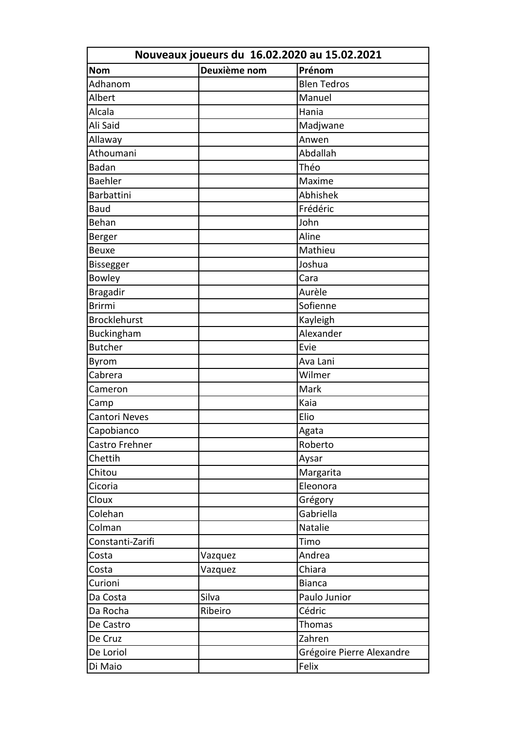|                      | Nouveaux joueurs du 16.02.2020 au 15.02.2021 |                           |  |  |  |
|----------------------|----------------------------------------------|---------------------------|--|--|--|
| <b>Nom</b>           | Deuxième nom                                 | Prénom                    |  |  |  |
| Adhanom              |                                              | <b>Blen Tedros</b>        |  |  |  |
| Albert               |                                              | Manuel                    |  |  |  |
| Alcala               |                                              | Hania                     |  |  |  |
| Ali Said             |                                              | Madjwane                  |  |  |  |
| Allaway              |                                              | Anwen                     |  |  |  |
| Athoumani            |                                              | Abdallah                  |  |  |  |
| <b>Badan</b>         |                                              | Théo                      |  |  |  |
| <b>Baehler</b>       |                                              | Maxime                    |  |  |  |
| <b>Barbattini</b>    |                                              | Abhishek                  |  |  |  |
| <b>Baud</b>          |                                              | Frédéric                  |  |  |  |
| Behan                |                                              | John                      |  |  |  |
| Berger               |                                              | Aline                     |  |  |  |
| <b>Beuxe</b>         |                                              | Mathieu                   |  |  |  |
| Bissegger            |                                              | Joshua                    |  |  |  |
| <b>Bowley</b>        |                                              | Cara                      |  |  |  |
| <b>Bragadir</b>      |                                              | Aurèle                    |  |  |  |
| <b>Brirmi</b>        |                                              | Sofienne                  |  |  |  |
| <b>Brocklehurst</b>  |                                              | Kayleigh                  |  |  |  |
| Buckingham           |                                              | Alexander                 |  |  |  |
| <b>Butcher</b>       |                                              | Evie                      |  |  |  |
| Byrom                |                                              | Ava Lani                  |  |  |  |
| Cabrera              |                                              | Wilmer                    |  |  |  |
| Cameron              |                                              | Mark                      |  |  |  |
| Camp                 |                                              | Kaia                      |  |  |  |
| <b>Cantori Neves</b> |                                              | Elio                      |  |  |  |
| Capobianco           |                                              | Agata                     |  |  |  |
| Castro Frehner       |                                              | Roberto                   |  |  |  |
| Chettih              |                                              | Aysar                     |  |  |  |
| Chitou               |                                              | Margarita                 |  |  |  |
| Cicoria              |                                              | Eleonora                  |  |  |  |
| Cloux                |                                              | Grégory                   |  |  |  |
| Colehan              |                                              | Gabriella                 |  |  |  |
| Colman               |                                              | Natalie                   |  |  |  |
| Constanti-Zarifi     |                                              | Timo                      |  |  |  |
| Costa                | Vazquez                                      | Andrea                    |  |  |  |
| Costa                | Vazquez                                      | Chiara                    |  |  |  |
| Curioni              |                                              | <b>Bianca</b>             |  |  |  |
| Da Costa             | Silva                                        | Paulo Junior              |  |  |  |
| Da Rocha             | Ribeiro                                      | Cédric                    |  |  |  |
| De Castro            |                                              | Thomas                    |  |  |  |
| De Cruz              |                                              | Zahren                    |  |  |  |
| De Loriol            |                                              | Grégoire Pierre Alexandre |  |  |  |
| Di Maio              |                                              | Felix                     |  |  |  |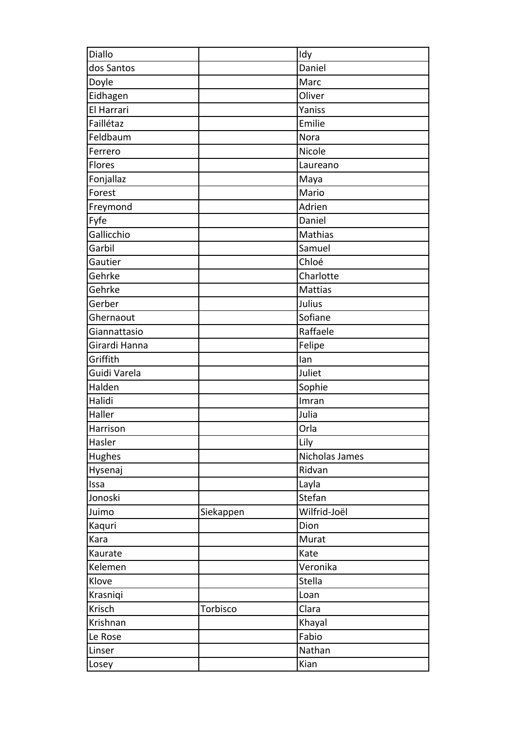| Diallo        |           | Idy            |
|---------------|-----------|----------------|
| dos Santos    |           | Daniel         |
| Doyle         |           | Marc           |
| Eidhagen      |           | Oliver         |
| El Harrari    |           | Yaniss         |
| Faillétaz     |           | Emilie         |
| Feldbaum      |           | Nora           |
| Ferrero       |           | Nicole         |
| <b>Flores</b> |           | Laureano       |
| Fonjallaz     |           | Maya           |
| Forest        |           | Mario          |
| Freymond      |           | Adrien         |
| Fyfe          |           | Daniel         |
| Gallicchio    |           | Mathias        |
| Garbil        |           | Samuel         |
| Gautier       |           | Chloé          |
| Gehrke        |           | Charlotte      |
| Gehrke        |           | <b>Mattias</b> |
| Gerber        |           | Julius         |
| Ghernaout     |           | Sofiane        |
| Giannattasio  |           | Raffaele       |
| Girardi Hanna |           | Felipe         |
| Griffith      |           | lan            |
| Guidi Varela  |           | Juliet         |
| Halden        |           | Sophie         |
| Halidi        |           | Imran          |
| Haller        |           | Julia          |
| Harrison      |           | Orla           |
| Hasler        |           | Lily           |
| Hughes        |           | Nicholas James |
| Hysenaj       |           | Ridvan         |
| Issa          |           | Layla          |
| Jonoski       |           | Stefan         |
| Juimo         | Siekappen | Wilfrid-Joël   |
| Kaquri        |           | Dion           |
| Kara          |           | Murat          |
| Kaurate       |           | Kate           |
| Kelemen       |           | Veronika       |
| Klove         |           | Stella         |
| Krasniqi      |           | Loan           |
| Krisch        | Torbisco  | Clara          |
| Krishnan      |           | Khayal         |
| Le Rose       |           | Fabio          |
| Linser        |           | Nathan         |
| Losey         |           | Kian           |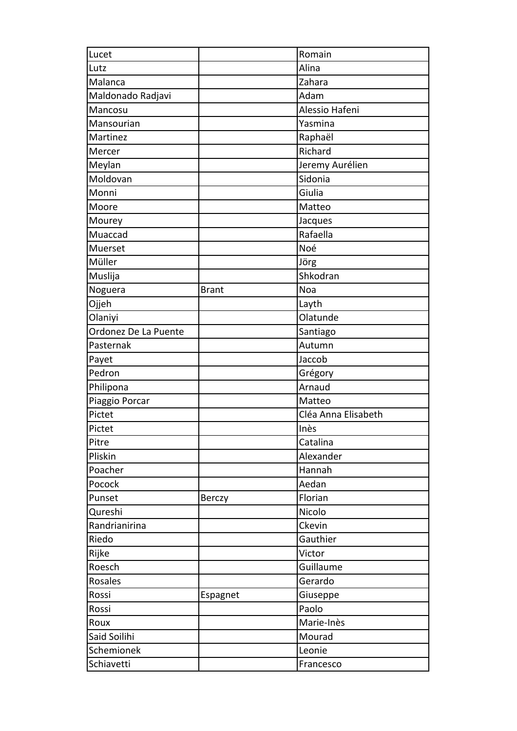| Lucet                |               | Romain              |
|----------------------|---------------|---------------------|
| Lutz                 |               | Alina               |
| Malanca              |               | Zahara              |
| Maldonado Radjavi    |               | Adam                |
| Mancosu              |               | Alessio Hafeni      |
| Mansourian           |               | Yasmina             |
| Martinez             |               | Raphaël             |
| Mercer               |               | Richard             |
| Meylan               |               | Jeremy Aurélien     |
| Moldovan             |               | Sidonia             |
| Monni                |               | Giulia              |
| Moore                |               | Matteo              |
| Mourey               |               | Jacques             |
| Muaccad              |               | Rafaella            |
| Muerset              |               | Noé                 |
| Müller               |               | Jörg                |
| Muslija              |               | Shkodran            |
| Noguera              | <b>Brant</b>  | Noa                 |
| Ojjeh                |               | Layth               |
| Olaniyi              |               | Olatunde            |
| Ordonez De La Puente |               | Santiago            |
| Pasternak            |               | Autumn              |
| Payet                |               | Jaccob              |
| Pedron               |               | Grégory             |
| Philipona            |               | Arnaud              |
| Piaggio Porcar       |               | Matteo              |
| Pictet               |               | Cléa Anna Elisabeth |
| Pictet               |               | Inès                |
| Pitre                |               | Catalina            |
| Pliskin              |               | Alexander           |
| Poacher              |               | Hannah              |
| Pocock               |               | Aedan               |
| Punset               | <b>Berczy</b> | Florian             |
| Qureshi              |               | Nicolo              |
| Randrianirina        |               | Ckevin              |
| Riedo                |               | Gauthier            |
| Rijke                |               | Victor              |
| Roesch               |               | Guillaume           |
| Rosales              |               | Gerardo             |
| Rossi                | Espagnet      | Giuseppe            |
| Rossi                |               | Paolo               |
| Roux                 |               | Marie-Inès          |
| Said Soilihi         |               | Mourad              |
| Schemionek           |               | Leonie              |
| Schiavetti           |               | Francesco           |